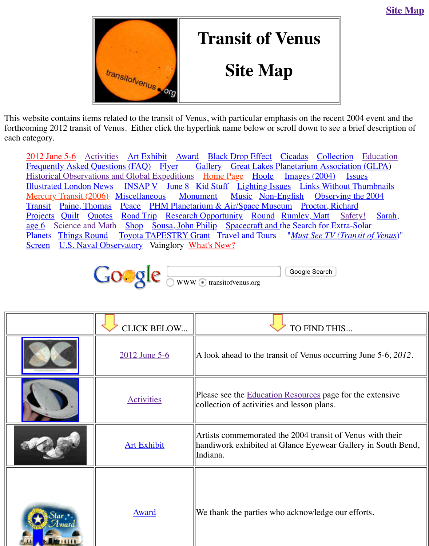This website contains items related to the transit of Venus, with particular emphasis on the recent 2004. forthcoming 2012 transit of Venus. Either click the hyperlink name below or scroll down to see each category.

2012 June 5-6 A[ctivities Art Exhibit A](http://old.transitofvenus.org/index.htm)ward Black Drop Effect Cicadas Colle<br>Frequently Asked Questions (FAQ) Flyer Gallery Great Lakes Planetarium Asse Frequently Asked Questions (FAQ) Flyer Gallery Great Lakes Planetarium Assoc Historical Observations and Global Expeditions Home Page Hoole Images (2004) Illustrated London News INSAP V June 8 Kid Stuff Lighting Issues Links Wit Mercury Transit (2006) Miscellaneous Monument Music Non-English Obser Transit Paine, Thomas Peace PHM Planetarium & Air/Space Museum Proctor, R Projects Quilt Quotes Road Trip Research Opportunity Round Rumley, Matt age 6 Science and Math Shop Sousa, John Philip Spacecraft and the Search for E Planets Things Round Toyota TAPESTRY Grant Travel and Tours "*Must See TV* Screen U.S. Naval Observatory Vainglory What's New?



|  | <b>CLICK BELOW</b>   | <b>TO FIND TH</b>                                                                           |
|--|----------------------|---------------------------------------------------------------------------------------------|
|  | <u>2012 June 5-6</u> | A look ahead to the transit of Venus occ                                                    |
|  | <b>Activities</b>    | Please see the <b>Education Resources</b> pag<br>collection of activities and lesson plans. |
|  | <b>Art Exhibit</b>   | Artists commemorated the 2004 transit<br>handiwork exhibited at Glance Eyewear<br>Indiana.  |
|  | <b>Award</b>         | We thank the parties who acknowledge                                                        |

 $\mathbf{H}$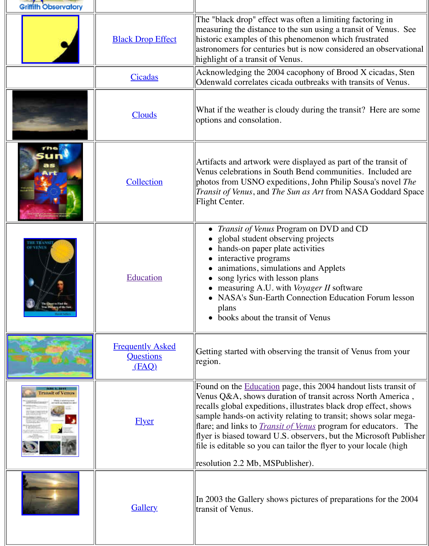|                       | <u>Clouds</u>                                        | options and consolation.                                                                                                                                                                                                                                                                                                                                           |
|-----------------------|------------------------------------------------------|--------------------------------------------------------------------------------------------------------------------------------------------------------------------------------------------------------------------------------------------------------------------------------------------------------------------------------------------------------------------|
|                       | Collection                                           | Artifacts and artwork were displayed as<br>Venus celebrations in South Bend comn<br>photos from USNO expeditions, John P<br><i>Transit of Venus</i> , and <i>The Sun as Art</i> fro<br>Flight Center.                                                                                                                                                              |
| <b>THE TRANSI</b>     | Education                                            | <i>Transit of Venus Program on DVI</i><br>global student observing projects<br>hands-on paper plate activities<br>interactive programs<br>animations, simulations and Appl<br>song lyrics with lesson plans<br>measuring A.U. with Voyager II s<br><b>NASA's Sun-Earth Connection E</b><br>plans<br>books about the transit of Venus                               |
|                       | <b>Frequently Asked</b><br><b>Questions</b><br>(KAQ) | Getting started with observing the trans<br>region.                                                                                                                                                                                                                                                                                                                |
| <b>THISH OF VEHIA</b> | <u>Flyer</u>                                         | Found on the Education page, this 2004<br>Venus Q&A, shows duration of transit a<br>recalls global expeditions, illustrates bla<br>sample hands-on activity relating to tran<br>flare; and links to <i>Transit of Venus</i> progi<br>flyer is biased toward U.S. observers, by<br>file is editable so you can tailor the flyer<br>resolution 2.2 Mb, MSPublisher). |
|                       | <b>Gallery</b>                                       | In 2003 the Gallery shows pictures of p<br>transit of Venus.                                                                                                                                                                                                                                                                                                       |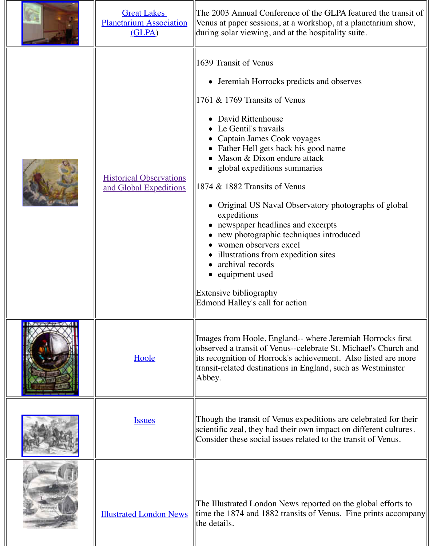|                     | <b>Historical Observations</b><br>and Global Expeditions | • David Rittenhouse<br>• Le Gentil's travails<br>• Captain James Cook voyages<br>• Father Hell gets back his good na<br>• Mason $& \text{Dixon}$ endure attack<br>• global expeditions summaries<br>1874 & 1882 Transits of Venus<br>Original US Naval Observatory p<br>expeditions<br>• newspaper headlines and excerpts<br>• new photographic techniques intr<br>• women observers excel<br>• illustrations from expedition sites<br>• archival records<br>• equipment used<br>Extensive bibliography<br>Edmond Halley's call for action |
|---------------------|----------------------------------------------------------|--------------------------------------------------------------------------------------------------------------------------------------------------------------------------------------------------------------------------------------------------------------------------------------------------------------------------------------------------------------------------------------------------------------------------------------------------------------------------------------------------------------------------------------------|
| <b>INAVAGE AVII</b> | <u>Hoole</u>                                             | Images from Hoole, England-- where Je<br>observed a transit of Venus--celebrate S<br>its recognition of Horrock's achievemen<br>transit-related destinations in England, s<br>Abbey.                                                                                                                                                                                                                                                                                                                                                       |
|                     | <u>Issues</u>                                            | Though the transit of Venus expeditions<br>scientific zeal, they had their own impac-<br>Consider these social issues related to the                                                                                                                                                                                                                                                                                                                                                                                                       |
|                     | <b>Illustrated London News</b>                           | The Illustrated London News reported of<br>time the 1874 and 1882 transits of Venu<br>the details.                                                                                                                                                                                                                                                                                                                                                                                                                                         |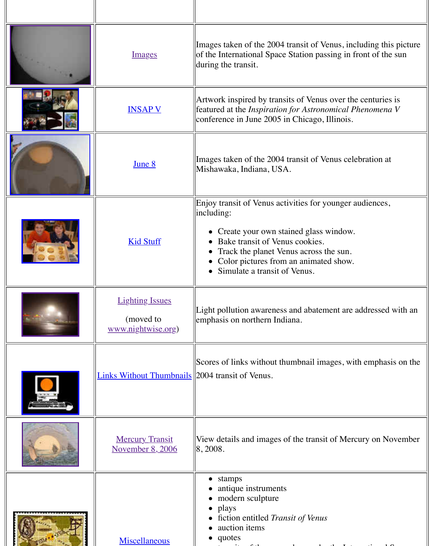|  |                                                           | conference in June 2005 in Chicago, Illi                                                                                                                                                                                                  |
|--|-----------------------------------------------------------|-------------------------------------------------------------------------------------------------------------------------------------------------------------------------------------------------------------------------------------------|
|  | <u>June 8</u>                                             | Images taken of the 2004 transit of Vent<br>Mishawaka, Indiana, USA.                                                                                                                                                                      |
|  | <b>Kid Stuff</b>                                          | Enjoy transit of Venus activities for you<br>including:<br>Create your own stained glass wire<br>Bake transit of Venus cookies.<br>Track the planet Venus across the<br>Color pictures from an animated<br>• Simulate a transit of Venus. |
|  | <b>Lighting Issues</b><br>(moved to<br>www.nightwise.org) | Light pollution awareness and abatemer<br>emphasis on northern Indiana.                                                                                                                                                                   |
|  | <b>Links Without Thumbnails</b> 2004 transit of Venus.    | Scores of links without thumbnail image                                                                                                                                                                                                   |
|  | <b>Mercury Transit</b><br><u>November 8, 2006</u>         | View details and images of the transit of<br> 8, 2008.                                                                                                                                                                                    |
|  | Miscellaneous                                             | stamps<br>$\bullet$<br>antique instruments<br>modern sculpture<br>plays<br>$\bullet$<br>fiction entitled Transit of Venus<br>auction items<br>quotes<br>$\bullet$                                                                         |

<u>Instruction of the second control</u>

featured at the *Inspiration for Astronomical Phenomena V*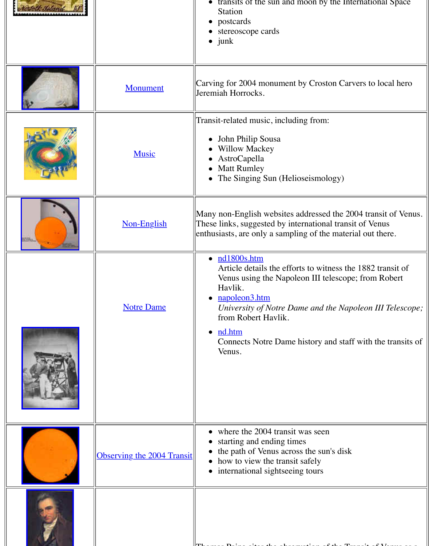| <b>Music</b>                      | Transit-related music, including from:<br>John Philip Sousa<br><b>Willow Mackey</b><br>AstroCapella<br><b>Matt Rumley</b><br>The Singing Sun (Helioseismolog                                                                                                                                        |
|-----------------------------------|-----------------------------------------------------------------------------------------------------------------------------------------------------------------------------------------------------------------------------------------------------------------------------------------------------|
| Non-English                       | Many non-English websites addressed t<br>These links, suggested by international<br>enthusiasts, are only a sampling of the r                                                                                                                                                                       |
| <b>Notre Dame</b>                 | $\bullet$ $\frac{\text{nd}1800\text{s.htm}}{}$<br>Article details the efforts to witne<br>Venus using the Napoleon III tele<br>Havlik.<br>napoleon3.htm<br>$\bullet$<br>University of Notre Dame and the<br>from Robert Havlik.<br>nd.htm<br>$\bullet$<br>Connects Notre Dame history and<br>Venus. |
| <b>Observing the 2004 Transit</b> | where the 2004 transit was seen<br>starting and ending times<br>the path of Venus across the sun's<br>how to view the transit safely<br>international sightseeing tours                                                                                                                             |
|                                   |                                                                                                                                                                                                                                                                                                     |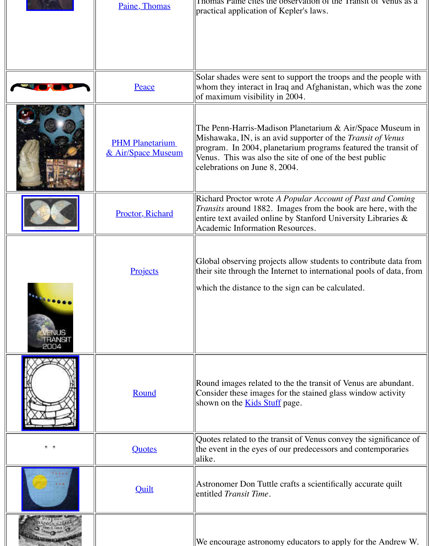|                           | <b>PHM Planetarium</b><br><u>&amp; Air/Space Museum</u> | The Penn-Harris-Madison Planetarium<br>Mishawaka, IN, is an avid supporter of<br>program. In 2004, planetarium program<br>Venus. This was also the site of one of<br>celebrations on June 8, 2004. |
|---------------------------|---------------------------------------------------------|----------------------------------------------------------------------------------------------------------------------------------------------------------------------------------------------------|
|                           | <b>Proctor, Richard</b>                                 | Richard Proctor wrote A Popular Accou<br><i>Transits</i> around 1882. Images from the<br>entire text availed online by Stanford U<br>Academic Information Resources.                               |
| 2004                      | Projects                                                | Global observing projects allow student<br>their site through the Internet to internat<br>which the distance to the sign can be cal                                                                |
|                           | Round                                                   | Round images related to the the transit of<br>Consider these images for the stained gl<br>shown on the <b>Kids Stuff</b> page.                                                                     |
| $\mathbf{H}$ $\mathbf{H}$ | Quotes                                                  | Quotes related to the transit of Venus co<br>the event in the eyes of our predecessor<br>alike.                                                                                                    |
|                           | <b>Quilt</b>                                            | Astronomer Don Tuttle crafts a scientifi<br>entitled Transit Time.                                                                                                                                 |
|                           |                                                         | We encourage astronomy educators to a                                                                                                                                                              |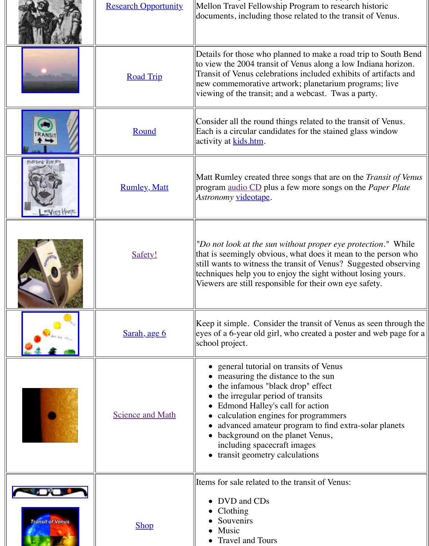|                         | Round                   | Consider all the round things related to<br>Each is a circular candidates for the stai<br>activity at <b>kids.htm</b> .                                                                                                                                                                                                                                        |
|-------------------------|-------------------------|----------------------------------------------------------------------------------------------------------------------------------------------------------------------------------------------------------------------------------------------------------------------------------------------------------------------------------------------------------------|
|                         | <b>Rumley</b> , Matt    | Matt Rumley created three songs that an<br>program audio CD plus a few more son<br>Astronomy videotape.                                                                                                                                                                                                                                                        |
|                         | Safety!                 | "Do not look at the sun without proper of<br>that is seemingly obvious, what does it<br>still wants to witness the transit of Venu<br>techniques help you to enjoy the sight w<br>Viewers are still responsible for their ov                                                                                                                                   |
|                         | Sarah, age 6            | [Keep it simple. Consider the transit of ]<br>eyes of a 6-year old girl, who created a<br>school project.                                                                                                                                                                                                                                                      |
|                         | <b>Science and Math</b> | general tutorial on transits of Ven<br>measuring the distance to the sun<br>the infamous "black drop" effect<br>the irregular period of transits<br>Edmond Halley's call for action<br>calculation engines for programm<br>advanced amateur program to fine<br>background on the planet Venus,<br>including spacecraft images<br>transit geometry calculations |
| <b>Transit of Venus</b> | <b>Shop</b>             | Items for sale related to the transit of Ve<br>DVD and CDs<br>Clothing<br>Souvenirs<br>Music<br><b>Travel and Tours</b>                                                                                                                                                                                                                                        |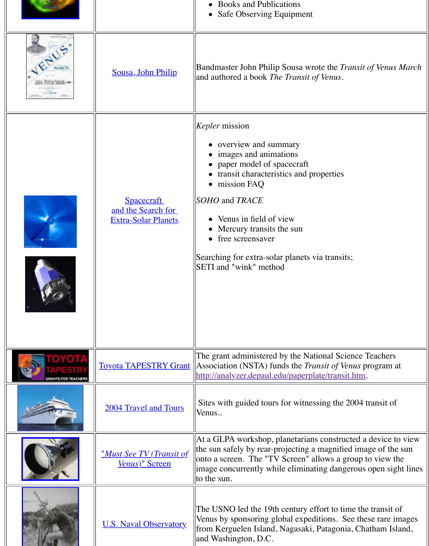|                                   | <b>Spacecraft</b><br>and the Search for<br><b>Extra-Solar Planets</b> | <i>Kepler</i> mission<br>overview and summary<br>images and animations<br>paper model of spacecraft<br>transit characteristics and propert<br>mission FAQ<br>SOHO and TRACE<br>Venus in field of view<br>Mercury transits the sun<br>free screensaver<br>Searching for extra-solar planets via tra<br>SETI and "wink" method |
|-----------------------------------|-----------------------------------------------------------------------|------------------------------------------------------------------------------------------------------------------------------------------------------------------------------------------------------------------------------------------------------------------------------------------------------------------------------|
| <b>APESTR</b><br>RANTS FOR TEACHE |                                                                       | The grant administered by the National<br><b>Toyota TAPESTRY Grant</b> Association (NSTA) funds the <i>Transit o</i><br>http://analyzer.depaul.edu/paperplate/tra                                                                                                                                                            |
|                                   | 2004 Travel and Tours                                                 | Sites with guided tours for witnessing t<br>Venus                                                                                                                                                                                                                                                                            |
|                                   | <u>"Must See TV (Transit of</u><br>Venus)" Screen                     | At a GLPA workshop, planetarians cons<br>the sun safely by rear-projecting a magn<br>onto a screen. The "TV Screen" allows<br>image concurrently while eliminating de<br>to the sun.                                                                                                                                         |
|                                   | <b>U.S. Naval Observatory</b>                                         | The USNO led the 19th century effort to<br>Venus by sponsoring global expeditions<br>from Kerguelen Island, Nagasaki, Patag<br>and Washington, D.C.                                                                                                                                                                          |